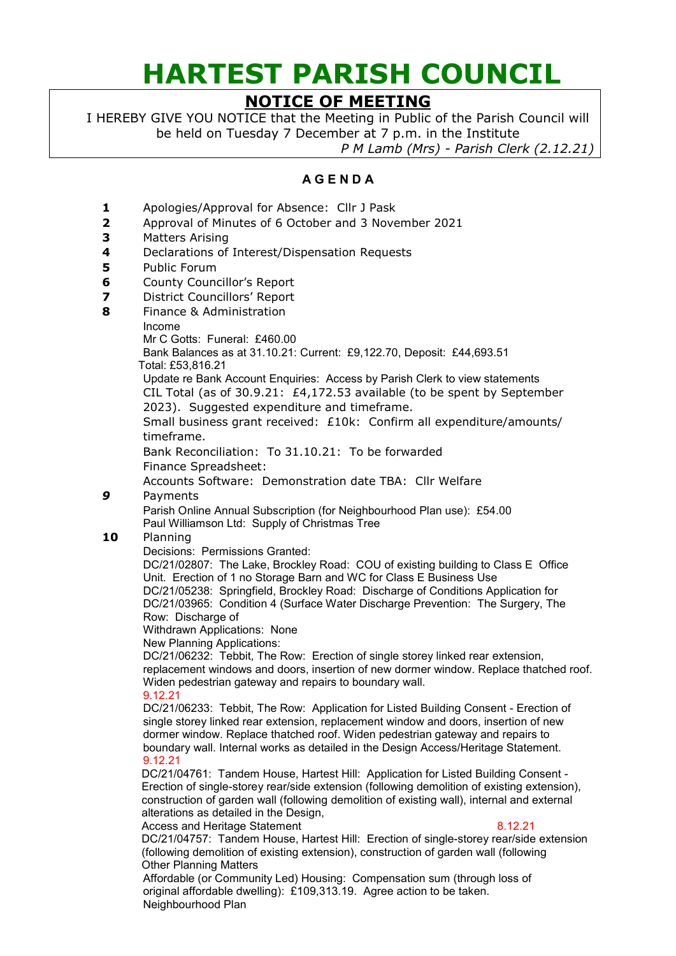# **HARTEST PARISH COUNCIL**

## **NOTICE OF MEETING**

I HEREBY GIVE YOU NOTICE that the Meeting in Public of the Parish Council will be held on Tuesday 7 December at 7 p.m. in the Institute

*P M Lamb (Mrs) - Parish Clerk (2.12.21)*

### **A G E N D A**

- **1** Apologies/Approval for Absence: Cllr J Pask
- **2** Approval of Minutes of 6 October and 3 November 2021
- **3** Matters Arising
- **4** Declarations of Interest/Dispensation Requests
- **5** Public Forum
- **6** County Councillor's Report
- **7** District Councillors' Report
- **8** Finance & Administration
	- Income
		- Mr C Gotts: Funeral: £460.00

Bank Balances as at 31.10.21: Current: £9,122.70, Deposit: £44,693.51 Total: £53,816.21

Update re Bank Account Enquiries: Access by Parish Clerk to view statements CIL Total (as of 30.9.21: £4,172.53 available (to be spent by September 2023). Suggested expenditure and timeframe.

Small business grant received: £10k: Confirm all expenditure/amounts/ timeframe.

Bank Reconciliation: To 31.10.21: To be forwarded Finance Spreadsheet:

Accounts Software: Demonstration date TBA: Cllr Welfare

*9* Payments

Parish Online Annual Subscription (for Neighbourhood Plan use): £54.00 Paul Williamson Ltd: Supply of Christmas Tree

#### **10** Planning

Decisions: Permissions Granted:

DC/21/02807: The Lake, Brockley Road: COU of existing building to Class E Office Unit. Erection of 1 no Storage Barn and WC for Class E Business Use DC/21/05238: Springfield, Brockley Road: Discharge of Conditions Application for DC/21/03965: Condition 4 (Surface Water Discharge Prevention: The Surgery, The Row: Discharge of

Withdrawn Applications: None

New Planning Applications:

DC/21/06232: Tebbit, The Row: Erection of single storey linked rear extension, replacement windows and doors, insertion of new dormer window. Replace thatched roof. Widen pedestrian gateway and repairs to boundary wall.

#### 9.12.21

DC/21/06233: Tebbit, The Row: Application for Listed Building Consent - Erection of single storey linked rear extension, replacement window and doors, insertion of new dormer window. Replace thatched roof. Widen pedestrian gateway and repairs to boundary wall. Internal works as detailed in the Design Access/Heritage Statement. 9.12.21

DC/21/04761: Tandem House, Hartest Hill: Application for Listed Building Consent - Erection of single-storey rear/side extension (following demolition of existing extension), construction of garden wall (following demolition of existing wall), internal and external alterations as detailed in the Design,

Access and Heritage Statement 8.12.21

DC/21/04757: Tandem House, Hartest Hill: Erection of single-storey rear/side extension (following demolition of existing extension), construction of garden wall (following Other Planning Matters

Affordable (or Community Led) Housing: Compensation sum (through loss of original affordable dwelling): £109,313.19. Agree action to be taken. Neighbourhood Plan